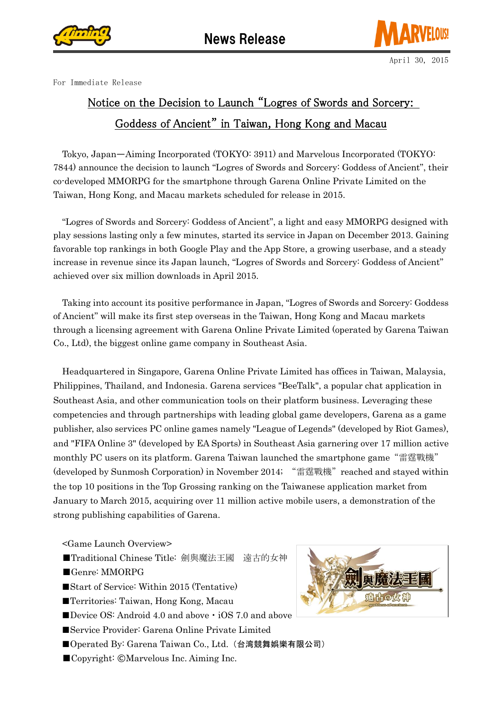



For Immediate Release

## Notice on the Decision to Launch "Logres of Swords and Sorcery: Goddess of Ancient" in Taiwan, Hong Kong and Macau

Tokyo, Japan̶Aiming Incorporated (TOKYO: 3911) and Marvelous Incorporated (TOKYO: 7844) announce the decision to launch "Logres of Swords and Sorcery: Goddess of Ancient", their co-developed MMORPG for the smartphone through Garena Online Private Limited on the Taiwan, Hong Kong, and Macau markets scheduled for release in 2015.

"Logres of Swords and Sorcery: Goddess of Ancient", a light and easy MMORPG designed with play sessions lasting only a few minutes, started its service in Japan on December 2013. Gaining favorable top rankings in both Google Play and the App Store, a growing userbase, and a steady increase in revenue since its Japan launch, "Logres of Swords and Sorcery: Goddess of Ancient" achieved over six million downloads in April 2015.

Taking into account its positive performance in Japan, "Logres of Swords and Sorcery: Goddess of Ancient" will make its first step overseas in the Taiwan, Hong Kong and Macau markets through a licensing agreement with Garena Online Private Limited (operated by Garena Taiwan Co., Ltd), the biggest online game company in Southeast Asia.

Headquartered in Singapore, Garena Online Private Limited has offices in Taiwan, Malaysia, Philippines, Thailand, and Indonesia. Garena services "BeeTalk", a popular chat application in Southeast Asia, and other communication tools on their platform business. Leveraging these competencies and through partnerships with leading global game developers, Garena as a game publisher, also services PC online games namely "League of Legends" (developed by Riot Games), and "FIFA Online 3" (developed by EA Sports) in Southeast Asia garnering over 17 million active monthly PC users on its platform. Garena Taiwan launched the smartphone game"雷霆戰機" (developed by Sunmosh Corporation) in November 2014; "雷霆戰機" reached and stayed within the top 10 positions in the Top Grossing ranking on the Taiwanese application market from January to March 2015, acquiring over 11 million active mobile users, a demonstration of the strong publishing capabilities of Garena.

<Game Launch Overview>

- ■Traditional Chinese Title: 劍與魔法王國 遠古的女神
- ■Genre: MMORPG
- ■Start of Service: Within 2015 (Tentative)
- ■Territories: Taiwan, Hong Kong, Macau
- ■Device OS: Android 4.0 and above iOS 7.0 and above
- ■Service Provider: Garena Online Private Limited
- ■Operated By: Garena Taiwan Co., Ltd. (台湾競舞娯樂有限公司)
- ■Copyright: ©Marvelous Inc. Aiming Inc.